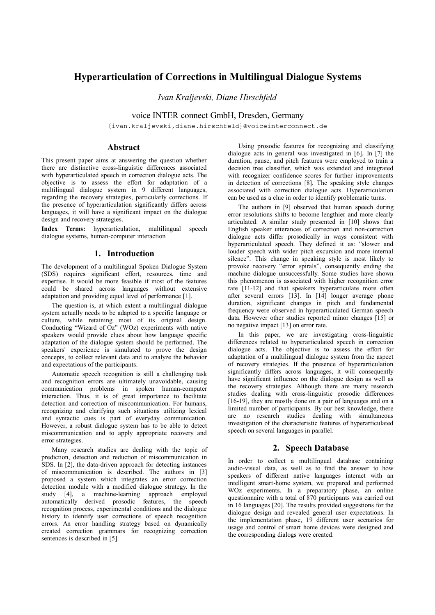# **Hyperarticulation of Corrections in Multilingual Dialogue Systems**

*Ivan Kraljevski, Diane Hirschfeld*

voice INTER connect GmbH, Dresden, Germany

{ivan.kraljevski,diane.hirschfeld}@voiceinterconnect.de

### **Abstract**

This present paper aims at answering the question whether there are distinctive cross-linguistic differences associated with hyperarticulated speech in correction dialogue acts. The objective is to assess the effort for adaptation of a multilingual dialogue system in 9 different languages, regarding the recovery strategies, particularly corrections. If the presence of hyperarticulation significantly differs across languages, it will have a significant impact on the dialogue design and recovery strategies.

**Index Terms:** hyperarticulation, multilingual speech dialogue systems, human-computer interaction

## **1. Introduction**

The development of a multilingual Spoken Dialogue System (SDS) requires significant effort, resources, time and expertise. It would be more feasible if most of the features could be shared across languages without extensive adaptation and providing equal level of performance [1].

The question is, at which extent a multilingual dialogue system actually needs to be adapted to a specific language or culture, while retaining most of its original design. Conducting "Wizard of Oz" (WOz) experiments with native speakers would provide clues about how language specific adaptation of the dialogue system should be performed. The speakers' experience is simulated to prove the design concepts, to collect relevant data and to analyze the behavior and expectations of the participants.

Automatic speech recognition is still a challenging task and recognition errors are ultimately unavoidable, causing communication problems in spoken human-computer interaction. Thus, it is of great importance to facilitate detection and correction of miscommunication. For humans, recognizing and clarifying such situations utilizing lexical and syntactic cues is part of everyday communication. However, a robust dialogue system has to be able to detect miscommunication and to apply appropriate recovery and error strategies.

Many research studies are dealing with the topic of prediction, detection and reduction of miscommunication in SDS. In [2], the data-driven approach for detecting instances of miscommunication is described. The authors in [3] proposed a system which integrates an error correction detection module with a modified dialogue strategy. In the study [4], a machine-learning approach employed automatically derived prosodic features, the speech recognition process, experimental conditions and the dialogue history to identify user corrections of speech recognition errors. An error handling strategy based on dynamically created correction grammars for recognizing correction sentences is described in [5].

Using prosodic features for recognizing and classifying dialogue acts in general was investigated in [6]. In [7] the duration, pause, and pitch features were employed to train a decision tree classifier, which was extended and integrated with recognizer confidence scores for further improvements in detection of corrections [8]. The speaking style changes associated with correction dialogue acts. Hyperarticulation can be used as a clue in order to identify problematic turns.

The authors in [9] observed that human speech during error resolutions shifts to become lengthier and more clearly articulated. A similar study presented in [10] shows that English speaker utterances of correction and non-correction dialogue acts differ prosodically in ways consistent with hyperarticulated speech. They defined it as: "slower and louder speech with wider pitch excursion and more internal silence". This change in speaking style is most likely to provoke recovery "error spirals", consequently ending the machine dialogue unsuccessfully. Some studies have shown this phenomenon is associated with higher recognition error rate [11-12] and that speakers hyperarticulate more often after several errors [13]. In [14] longer average phone duration, significant changes in pitch and fundamental frequency were observed in hyperarticulated German speech data. However other studies reported minor changes [15] or no negative impact [13] on error rate.

In this paper, we are investigating cross-linguistic differences related to hyperarticulated speech in correction dialogue acts. The objective is to assess the effort for adaptation of a multilingual dialogue system from the aspect of recovery strategies. If the presence of hyperarticulation significantly differs across languages, it will consequently have significant influence on the dialogue design as well as the recovery strategies. Although there are many research studies dealing with cross-linguistic prosodic differences [16-19], they are mostly done on a pair of languages and on a limited number of participants. By our best knowledge, there are no research studies dealing with simultaneous investigation of the characteristic features of hyperarticulated speech on several languages in parallel.

## **2. Speech Database**

In order to collect a multilingual database containing audio-visual data, as well as to find the answer to how speakers of different native languages interact with an intelligent smart-home system, we prepared and performed WOz experiments. In a preparatory phase, an online questionnaire with a total of 870 participants was carried out in 16 languages [20]. The results provided suggestions for the dialogue design and revealed general user expectations. In the implementation phase, 19 different user scenarios for usage and control of smart home devices were designed and the corresponding dialogs were created.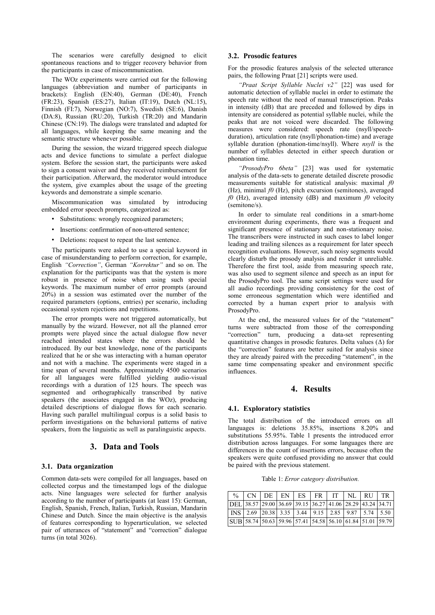The scenarios were carefully designed to elicit spontaneous reactions and to trigger recovery behavior from the participants in case of miscommunication.

The WOz experiments were carried out for the following languages (abbreviation and number of participants in brackets): English (EN:40), German (DE:40), French (FR:23), Spanish (ES:27), Italian (IT:19), Dutch (NL:15), Finnish (FI:7), Norwegian (NO:7), Swedish (SE:6), Danish (DA:8), Russian (RU:20), Turkish (TR:20) and Mandarin Chinese (CN:19). The dialogs were translated and adapted for all languages, while keeping the same meaning and the semantic structure whenever possible.

During the session, the wizard triggered speech dialogue acts and device functions to simulate a perfect dialogue system. Before the session start, the participants were asked to sign a consent waiver and they received reimbursement for their participation. Afterward, the moderator would introduce the system, give examples about the usage of the greeting keywords and demonstrate a simple scenario.

Miscommunication was simulated by introducing embedded error speech prompts, categorized as:

- Substitutions: wrongly recognized parameters;
- Insertions: confirmation of non-uttered sentence;
- Deletions: request to repeat the last sentence.

The participants were asked to use a special keyword in case of misunderstanding to perform correction, for example, English *"Correction"*, German *"Korrektur"* and so on. The explanation for the participants was that the system is more robust in presence of noise when using such special keywords. The maximum number of error prompts (around 20%) in a session was estimated over the number of the required parameters (options, entries) per scenario, including occasional system rejections and repetitions.

The error prompts were not triggered automatically, but manually by the wizard. However, not all the planned error prompts were played since the actual dialogue flow never reached intended states where the errors should be introduced. By our best knowledge, none of the participants realized that he or she was interacting with a human operator and not with a machine. The experiments were staged in a time span of several months. Approximately 4500 scenarios for all languages were fulfilled yielding audio-visual recordings with a duration of 125 hours. The speech was segmented and orthographically transcribed by native speakers (the associates engaged in the WOz), producing detailed descriptions of dialogue flows for each scenario. Having such parallel multilingual corpus is a solid basis to perform investigations on the behavioral patterns of native speakers, from the linguistic as well as paralinguistic aspects.

## **3. Data and Tools**

#### **3.1. Data organization**

Common data-sets were compiled for all languages, based on collected corpus and the timestamped logs of the dialogue acts. Nine languages were selected for further analysis according to the number of participants (at least 15): German, English, Spanish, French, Italian, Turkish, Russian, Mandarin Chinese and Dutch. Since the main objective is the analysis of features corresponding to hyperarticulation, we selected pair of utterances of "statement" and "correction" dialogue turns (in total 3026).

#### **3.2. Prosodic features**

For the prosodic features analysis of the selected utterance pairs, the following Praat [21] scripts were used.

*"Praat Script Syllable Nuclei v2"* [22] was used for automatic detection of syllable nuclei in order to estimate the speech rate without the need of manual transcription. Peaks in intensity (dB) that are preceded and followed by dips in intensity are considered as potential syllable nuclei, while the peaks that are not voiced were discarded. The following measures were considered: speech rate (nsyll/speechduration), articulation rate (nsyll/phonation-time) and average syllable duration (phonation-time/nsyll). Where *nsyll* is the number of syllables detected in either speech duration or phonation time.

*"ProsodyPro 6beta"* [23] was used for systematic analysis of the data-sets to generate detailed discrete prosodic measurements suitable for statistical analysis: maximal *f0* (Hz), minimal *f0* (Hz), pitch excursion (semitones), averaged *f0* (Hz), averaged intensity (dB) and maximum *f0* velocity (semitone/s).

In order to simulate real conditions in a smart-home environment during experiments, there was a frequent and significant presence of stationary and non-stationary noise. The transcribers were instructed in such cases to label longer leading and trailing silences as a requirement for later speech recognition evaluations. However, such noisy segments would clearly disturb the prosody analysis and render it unreliable. Therefore the first tool, aside from measuring speech rate, was also used to segment silence and speech as an input for the ProsodyPro tool. The same script settings were used for all audio recordings providing consistency for the cost of some erroneous segmentation which were identified and corrected by a human expert prior to analysis with ProsodyPro.

At the end, the measured values for of the "statement" turns were subtracted from those of the corresponding "correction" turn, producing a data-set representing quantitative changes in prosodic features. Delta values  $(\Delta)$  for the "correction" features are better suited for analysis since they are already paired with the preceding "statement", in the same time compensating speaker and environment specific influences.

## **4. Results**

#### **4.1. Exploratory statistics**

The total distribution of the introduced errors on all languages is: deletions 35.85%, insertions 8.20% and substitutions 55.95%. Table 1 presents the introduced error distribution across languages. For some languages there are differences in the count of insertions errors, because often the speakers were quite confused providing no answer that could be paired with the previous statement.

Table 1: *Error category distribution.*

|  |  |  | $\frac{1}{2}$ $\%$ $\Box$ CN $\Box$ DE $\Box$ EN $\Box$ ES $\Box$ FR $\Box$ IT $\Box$ NL $\Box$ RU $\Box$ TR                      |  |                                                                                                                         |
|--|--|--|-----------------------------------------------------------------------------------------------------------------------------------|--|-------------------------------------------------------------------------------------------------------------------------|
|  |  |  | DEL 38.57 29.00 36.69 39.15 36.27 41.06 28.29 43.24 34.71                                                                         |  |                                                                                                                         |
|  |  |  | $\vert$ INS $\vert$ 2.69 $\vert$ 20.38 $\vert$ 3.35 $\vert$ 3.44 $\vert$ 9.15 $\vert$ 2.85 $\vert$ 9.87 $\vert$ 5.74 $\vert$ 5.50 |  |                                                                                                                         |
|  |  |  |                                                                                                                                   |  | $\boxed{\text{SUB} \mid 58.74 \mid 50.63 \mid 59.96 \mid 57.41 \mid 54.58 \mid 56.10 \mid 61.84 \mid 51.01 \mid 59.79}$ |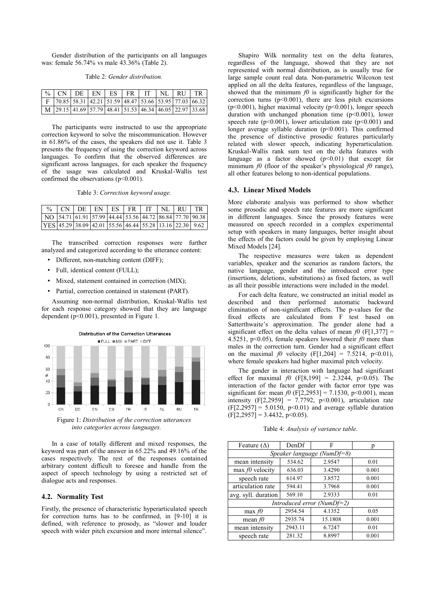Gender distribution of the participants on all languages was: female 56.74% vs male 43.36% (Table 2).

|  | $\frac{1}{6}$ CN DE EN ES FR TT NL RU TR                                         |  |  |  |  |
|--|----------------------------------------------------------------------------------|--|--|--|--|
|  | $\mid$ F   70.85   58.31   42.21   51.59   48.47   53.66   53.95   77.03   66.32 |  |  |  |  |
|  | $\mid$ M 29.15 41.69 57.79 48.41 51.53 46.34 46.05 22.97 33.68                   |  |  |  |  |

The participants were instructed to use the appropriate correction keyword to solve the miscommunication. However in 61.86% of the cases, the speakers did not use it. Table 3 presents the frequency of using the correction keyword across languages. To confirm that the observed differences are significant across languages, for each speaker the frequency of the usage was calculated and Kruskal-Wallis test confirmed the observations  $(p<0.001)$ .

Table 3: *Correction keyword usage.*

| % $\lfloor CN \rfloor$ DE $\lfloor FN \rfloor$ ES $\lfloor FR \rfloor$ IT $\lfloor N \rfloor$ RU $\lfloor TR \rfloor$                            |  |  |  |  |
|--------------------------------------------------------------------------------------------------------------------------------------------------|--|--|--|--|
| $\vert$ NO $\vert$ 54.71 $\vert$ 61.91 $\vert$ 57.99 $\vert$ 44.44 $\vert$ 53.56 $\vert$ 44.72 $\vert$ 86.84 $\vert$ 77.70 $\vert$ 90.38 $\vert$ |  |  |  |  |
| $\vert$ YES 45.29 38.09 42.01 55.56 46.44 55.28 13.16 22.30 9.62                                                                                 |  |  |  |  |

The transcribed correction responses were further analyzed and categorized according to the utterance content:

- Different, non-matching content (DIFF);
- Full, identical content (FULL);
- Mixed, statement contained in correction (MIX);
- Partial, correction contained in statement (PART).

Assuming non-normal distribution, Kruskal-Wallis test for each response category showed that they are language dependent (p<0.001), presented in Figure 1.



Figure 1: *Distribution of the correction utterances into categories across languages.*

In a case of totally different and mixed responses, the keyword was part of the answer in 65.22% and 49.16% of the cases respectively. The rest of the responses contained arbitrary content difficult to foresee and handle from the aspect of speech technology by using a restricted set of dialogue acts and responses.

#### **4.2. Normality Test**

Firstly, the presence of characteristic hyperarticulated speech for correction turns has to be confirmed, in [9-10] it is defined, with reference to prosody, as "slower and louder speech with wider pitch excursion and more internal silence".

Shapiro Wilk normality test on the delta features, regardless of the language, showed that they are not represented with normal distribution, as is usually true for large sample count real data. Non-parametric Wilcoxon test applied on all the delta features, regardless of the language, showed that the minimum *f0* is significantly higher for the correction turns  $(p<0.001)$ , there are less pitch excursions ( $p<0.001$ ), higher maximal velocity ( $p<0.001$ ), longer speech duration with unchanged phonation time (p<0.001), lower speech rate ( $p<0.001$ ), lower articulation rate ( $p<0.001$ ) and longer average syllable duration (p<0.001). This confirmed the presence of distinctive prosodic features particularly related with slower speech, indicating hyperarticulation. Kruskal-Wallis rank sum test on the delta features with language as a factor showed  $(p<0.01)$  that except for minimum *f0* (floor of the speaker's physiological *f0* range). all other features belong to non-identical populations.

#### **4.3. Linear Mixed Models**

More elaborate analysis was performed to show whether some prosodic and speech rate features are more significant in different languages. Since the prosody features were measured on speech recorded in a complex experimental setup with speakers in many languages, better insight about the effects of the factors could be given by employing Linear Mixed Models [24].

The respective measures were taken as dependent variables, speaker and the scenarios as random factors, the native language, gender and the introduced error type (insertions, deletions, substitutions) as fixed factors, as well as all their possible interactions were included in the model.

For each delta feature, we constructed an initial model as described and then performed automatic backward elimination of non-significant effects. The p-values for the fixed effects are calculated from F test based on Satterthwaite's approximation. The gender alone had a significant effect on the delta values of mean  $f_0$  (F[1,377] = 4.5251, p<0.05), female speakers lowered their  $f0$  more than males in the correction turn. Gender had a significant effect on the maximal *f0* velocity (F[1,204] = 7.5214, p<0.01), where female speakers had higher maximal pitch velocity.

The gender in interaction with language had significant effect for maximal  $f0$  (F[8,199] = 2.3244, p<0.05). The interaction of the factor gender with factor error type was significant for: mean  $f(0)$  (F[2,2953] = 7.1530, p<0.001), mean intensity  $(F[2,2959] = 7.7792, p<0.001)$ , articulation rate  $(F[2,2957] = 5.0150, p<0.01)$  and average syllable duration  $(F[2, 2957] = 3.4432, p<0.05)$ .

Table 4: *Analysis of variance table.*

| Feature $(\Delta)$             | DenDf   | F       | p     |  |  |  |  |  |  |
|--------------------------------|---------|---------|-------|--|--|--|--|--|--|
| Speaker language (Num $Df=8$ ) |         |         |       |  |  |  |  |  |  |
| mean intensity                 | 534.62  | 2.9547  | 0.01  |  |  |  |  |  |  |
| max $f0$ velocity              | 636.03  | 3.4290  | 0.001 |  |  |  |  |  |  |
| speech rate                    | 614.97  | 3.8572  | 0.001 |  |  |  |  |  |  |
| articulation rate              | 594.41  | 3.7968  | 0.001 |  |  |  |  |  |  |
| avg. syll. duration            | 569.10  | 2.9333  | 0.01  |  |  |  |  |  |  |
| Introduced error (Num $Df=2$ ) |         |         |       |  |  |  |  |  |  |
| $max$ f0                       | 2954.54 | 4.1352  | 0.05  |  |  |  |  |  |  |
| mean $f0$                      | 2935.74 | 15.1808 | 0.001 |  |  |  |  |  |  |
| mean intensity                 | 2943.11 | 6.7247  | 0.01  |  |  |  |  |  |  |
| speech rate                    | 281.32  | 8.8997  | 0.001 |  |  |  |  |  |  |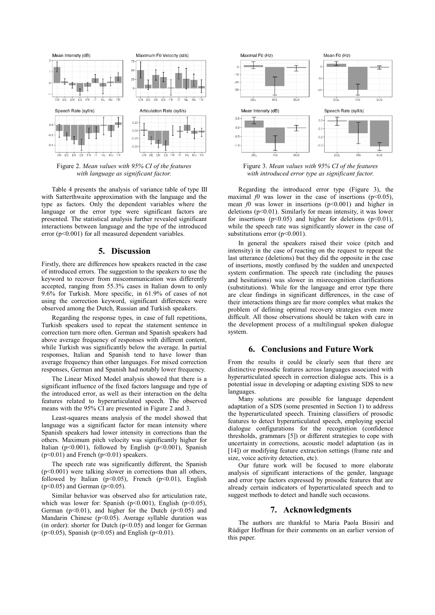

Figure 2. *Mean values with 95% CI of the features with language as significant factor.*

Table 4 presents the analysis of variance table of type III with Satterthwaite approximation with the language and the type as factors. Only the dependent variables where the language or the error type were significant factors are presented. The statistical analysis further revealed significant interactions between language and the type of the introduced error  $(p<0.001)$  for all measured dependent variables.

## **5. Discussion**

Firstly, there are differences how speakers reacted in the case of introduced errors. The suggestion to the speakers to use the keyword to recover from miscommunication was differently accepted, ranging from 55.3% cases in Italian down to only 9.6% for Turkish. More specific, in 61.9% of cases of not using the correction keyword, significant differences were observed among the Dutch, Russian and Turkish speakers.

Regarding the response types, in case of full repetitions, Turkish speakers used to repeat the statement sentence in correction turn more often. German and Spanish speakers had above average frequency of responses with different content, while Turkish was significantly below the average. In partial responses, Italian and Spanish tend to have lower than average frequency than other languages. For mixed correction responses, German and Spanish had notably lower frequency.

The Linear Mixed Model analysis showed that there is a significant influence of the fixed factors language and type of the introduced error, as well as their interaction on the delta features related to hyperarticulated speech. The observed means with the 95% CI are presented in Figure 2 and 3.

Least-squares means analysis of the model showed that language was a significant factor for mean intensity where Spanish speakers had lower intensity in corrections than the others. Maximum pitch velocity was significantly higher for Italian (p<0.001), followed by English (p<0.001), Spanish  $(p<0.01)$  and French  $(p<0.01)$  speakers.

The speech rate was significantly different, the Spanish (p<0.001) were talking slower in corrections than all others, followed by Italian ( $p<0.05$ ), French ( $p<0.01$ ), English  $(p<0.05)$  and German  $(p<0.05)$ .

Similar behavior was observed also for articulation rate, which was lower for: Spanish ( $p<0.001$ ), English ( $p<0.05$ ), German ( $p<0.01$ ), and higher for the Dutch ( $p<0.05$ ) and Mandarin Chinese ( $p<0.05$ ). Average syllable duration was (in order): shorter for Dutch  $(p<0.05)$  and longer for German ( $p$ <0.05), Spanish ( $p$ <0.05) and English ( $p$ <0.01).



Figure 3. *Mean values with 95% CI of the features with introduced error type as significant factor.*

Regarding the introduced error type (Figure 3), the maximal *f0* was lower in the case of insertions ( $p \le 0.05$ ). mean  $f0$  was lower in insertions ( $p<0.001$ ) and higher in deletions ( $p<0.01$ ). Similarly for mean intensity, it was lower for insertions ( $p<0.05$ ) and higher for deletions ( $p<0.01$ ), while the speech rate was significantly slower in the case of substitutions error (p<0.001).

In general the speakers raised their voice (pitch and intensity) in the case of reacting on the request to repeat the last utterance (deletions) but they did the opposite in the case of insertions, mostly confused by the sudden and unexpected system confirmation. The speech rate (including the pauses and hesitations) was slower in misrecognition clarifications (substitutions). While for the language and error type there are clear findings in significant differences, in the case of their interactions things are far more complex what makes the problem of defining optimal recovery strategies even more difficult. All those observations should be taken with care in the development process of a multilingual spoken dialogue system.

## **6. Conclusions and Future Work**

From the results it could be clearly seen that there are distinctive prosodic features across languages associated with hyperarticulated speech in correction dialogue acts. This is a potential issue in developing or adapting existing SDS to new languages.

Many solutions are possible for language dependent adaptation of a SDS (some presented in Section 1) to address the hyperarticulated speech. Training classifiers of prosodic features to detect hyperarticulated speech, employing special dialogue configurations for the recognition (confidence thresholds, grammars [5]) or different strategies to cope with uncertainty in corrections, acoustic model adaptation (as in [14]) or modifying feature extraction settings (frame rate and size, voice activity detection, etc).

Our future work will be focused to more elaborate analysis of significant interactions of the gender, language and error type factors expressed by prosodic features that are already certain indicators of hyperarticulated speech and to suggest methods to detect and handle such occasions.

#### **7. Acknowledgments**

The authors are thankful to Maria Paola Bissiri and Rüdiger Hoffman for their comments on an earlier version of this paper.